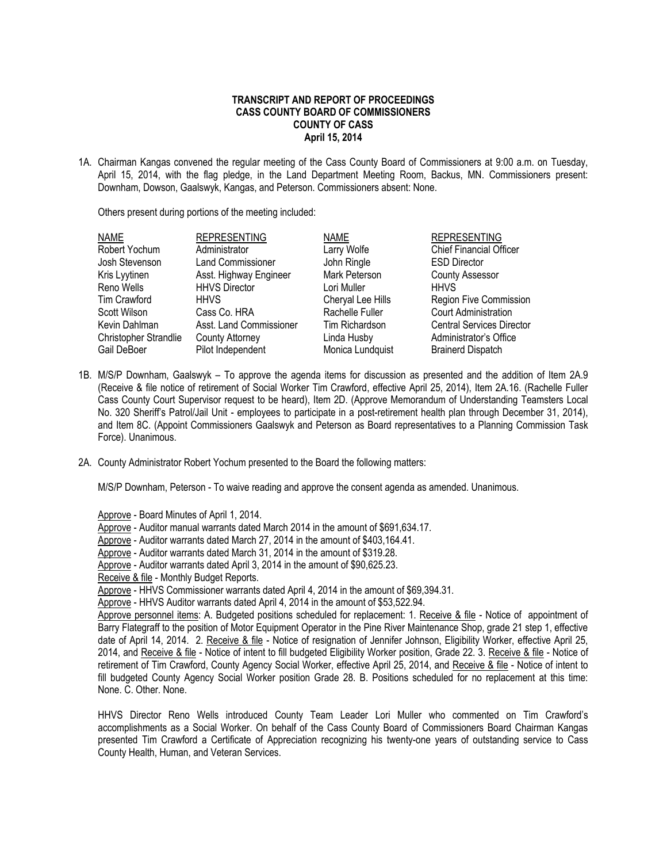## **TRANSCRIPT AND REPORT OF PROCEEDINGS CASS COUNTY BOARD OF COMMISSIONERS COUNTY OF CASS April 15, 2014**

1A. Chairman Kangas convened the regular meeting of the Cass County Board of Commissioners at 9:00 a.m. on Tuesday, April 15, 2014, with the flag pledge, in the Land Department Meeting Room, Backus, MN. Commissioners present: Downham, Dowson, Gaalswyk, Kangas, and Peterson. Commissioners absent: None.

Others present during portions of the meeting included:

| <b>NAME</b>           | <b>REPRESENTING</b>      | <b>NAME</b>       | <b>REPRESENTING</b>              |  |
|-----------------------|--------------------------|-------------------|----------------------------------|--|
| Robert Yochum         | Administrator            | Larry Wolfe       | <b>Chief Financial Officer</b>   |  |
| Josh Stevenson        | <b>Land Commissioner</b> | John Ringle       | <b>ESD Director</b>              |  |
| Kris Lyytinen         | Asst. Highway Engineer   | Mark Peterson     | <b>County Assessor</b>           |  |
| Reno Wells            | <b>HHVS Director</b>     | Lori Muller       | <b>HHVS</b>                      |  |
| Tim Crawford          | <b>HHVS</b>              | Cheryal Lee Hills | <b>Region Five Commission</b>    |  |
| Scott Wilson          | Cass Co. HRA             | Rachelle Fuller   | <b>Court Administration</b>      |  |
| Kevin Dahlman         | Asst. Land Commissioner  | Tim Richardson    | <b>Central Services Director</b> |  |
| Christopher Strandlie | <b>County Attorney</b>   | Linda Husby       | Administrator's Office           |  |
| Gail DeBoer           | Pilot Independent        | Monica Lundquist  | <b>Brainerd Dispatch</b>         |  |

- 1B. M/S/P Downham, Gaalswyk To approve the agenda items for discussion as presented and the addition of Item 2A.9 (Receive & file notice of retirement of Social Worker Tim Crawford, effective April 25, 2014), Item 2A.16. (Rachelle Fuller Cass County Court Supervisor request to be heard), Item 2D. (Approve Memorandum of Understanding Teamsters Local No. 320 Sheriff's Patrol/Jail Unit - employees to participate in a post-retirement health plan through December 31, 2014), and Item 8C. (Appoint Commissioners Gaalswyk and Peterson as Board representatives to a Planning Commission Task Force). Unanimous.
- 2A. County Administrator Robert Yochum presented to the Board the following matters:

M/S/P Downham, Peterson - To waive reading and approve the consent agenda as amended. Unanimous.

Approve - Board Minutes of April 1, 2014.

Approve - Auditor manual warrants dated March 2014 in the amount of \$691,634.17.

Approve - Auditor warrants dated March 27, 2014 in the amount of \$403,164.41.

Approve - Auditor warrants dated March 31, 2014 in the amount of \$319.28.

Approve - Auditor warrants dated April 3, 2014 in the amount of \$90,625.23.

Receive & file - Monthly Budget Reports.

Approve - HHVS Commissioner warrants dated April 4, 2014 in the amount of \$69,394.31.

Approve - HHVS Auditor warrants dated April 4, 2014 in the amount of \$53,522.94.

Approve personnel items: A. Budgeted positions scheduled for replacement: 1. Receive & file - Notice of appointment of Barry Flategraff to the position of Motor Equipment Operator in the Pine River Maintenance Shop, grade 21 step 1, effective date of April 14, 2014. 2. Receive & file - Notice of resignation of Jennifer Johnson, Eligibility Worker, effective April 25, 2014, and Receive & file - Notice of intent to fill budgeted Eligibility Worker position, Grade 22. 3. Receive & file - Notice of retirement of Tim Crawford, County Agency Social Worker, effective April 25, 2014, and Receive & file - Notice of intent to fill budgeted County Agency Social Worker position Grade 28. B. Positions scheduled for no replacement at this time: None. C. Other. None.

HHVS Director Reno Wells introduced County Team Leader Lori Muller who commented on Tim Crawford's accomplishments as a Social Worker. On behalf of the Cass County Board of Commissioners Board Chairman Kangas presented Tim Crawford a Certificate of Appreciation recognizing his twenty-one years of outstanding service to Cass County Health, Human, and Veteran Services.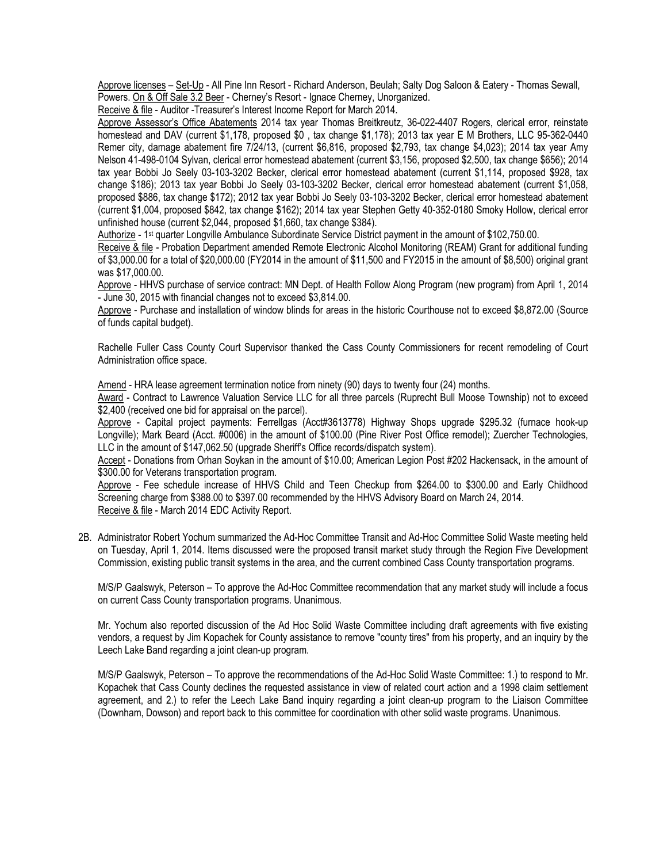Approve licenses – Set-Up - All Pine Inn Resort - Richard Anderson, Beulah; Salty Dog Saloon & Eatery - Thomas Sewall, Powers. On & Off Sale 3.2 Beer - Cherney's Resort - Ignace Cherney, Unorganized.

Receive & file - Auditor -Treasurer's Interest Income Report for March 2014.

Approve Assessor's Office Abatements 2014 tax year Thomas Breitkreutz, 36-022-4407 Rogers, clerical error, reinstate homestead and DAV (current \$1,178, proposed \$0 , tax change \$1,178); 2013 tax year E M Brothers, LLC 95-362-0440 Remer city, damage abatement fire 7/24/13, (current \$6,816, proposed \$2,793, tax change \$4,023); 2014 tax year Amy Nelson 41-498-0104 Sylvan, clerical error homestead abatement (current \$3,156, proposed \$2,500, tax change \$656); 2014 tax year Bobbi Jo Seely 03-103-3202 Becker, clerical error homestead abatement (current \$1,114, proposed \$928, tax change \$186); 2013 tax year Bobbi Jo Seely 03-103-3202 Becker, clerical error homestead abatement (current \$1,058, proposed \$886, tax change \$172); 2012 tax year Bobbi Jo Seely 03-103-3202 Becker, clerical error homestead abatement (current \$1,004, proposed \$842, tax change \$162); 2014 tax year Stephen Getty 40-352-0180 Smoky Hollow, clerical error unfinished house (current \$2,044, proposed \$1,660, tax change \$384).

Authorize - 1st quarter Longville Ambulance Subordinate Service District payment in the amount of \$102,750.00.

Receive & file - Probation Department amended Remote Electronic Alcohol Monitoring (REAM) Grant for additional funding of \$3,000.00 for a total of \$20,000.00 (FY2014 in the amount of \$11,500 and FY2015 in the amount of \$8,500) original grant was \$17,000.00.

Approve - HHVS purchase of service contract: MN Dept. of Health Follow Along Program (new program) from April 1, 2014 - June 30, 2015 with financial changes not to exceed \$3,814.00.

Approve - Purchase and installation of window blinds for areas in the historic Courthouse not to exceed \$8,872.00 (Source of funds capital budget).

Rachelle Fuller Cass County Court Supervisor thanked the Cass County Commissioners for recent remodeling of Court Administration office space.

Amend - HRA lease agreement termination notice from ninety (90) days to twenty four (24) months.

Award - Contract to Lawrence Valuation Service LLC for all three parcels (Ruprecht Bull Moose Township) not to exceed \$2,400 (received one bid for appraisal on the parcel).

Approve - Capital project payments: Ferrellgas (Acct#3613778) Highway Shops upgrade \$295.32 (furnace hook-up Longville); Mark Beard (Acct. #0006) in the amount of \$100.00 (Pine River Post Office remodel); Zuercher Technologies, LLC in the amount of \$147,062.50 (upgrade Sheriff's Office records/dispatch system).

Accept - Donations from Orhan Soykan in the amount of \$10.00; American Legion Post #202 Hackensack, in the amount of \$300.00 for Veterans transportation program.

Approve - Fee schedule increase of HHVS Child and Teen Checkup from \$264.00 to \$300.00 and Early Childhood Screening charge from \$388.00 to \$397.00 recommended by the HHVS Advisory Board on March 24, 2014. Receive & file - March 2014 EDC Activity Report.

2B. Administrator Robert Yochum summarized the Ad-Hoc Committee Transit and Ad-Hoc Committee Solid Waste meeting held on Tuesday, April 1, 2014. Items discussed were the proposed transit market study through the Region Five Development Commission, existing public transit systems in the area, and the current combined Cass County transportation programs.

M/S/P Gaalswyk, Peterson – To approve the Ad-Hoc Committee recommendation that any market study will include a focus on current Cass County transportation programs. Unanimous.

Mr. Yochum also reported discussion of the Ad Hoc Solid Waste Committee including draft agreements with five existing vendors, a request by Jim Kopachek for County assistance to remove "county tires" from his property, and an inquiry by the Leech Lake Band regarding a joint clean-up program.

M/S/P Gaalswyk, Peterson – To approve the recommendations of the Ad-Hoc Solid Waste Committee: 1.) to respond to Mr. Kopachek that Cass County declines the requested assistance in view of related court action and a 1998 claim settlement agreement, and 2.) to refer the Leech Lake Band inquiry regarding a joint clean-up program to the Liaison Committee (Downham, Dowson) and report back to this committee for coordination with other solid waste programs. Unanimous.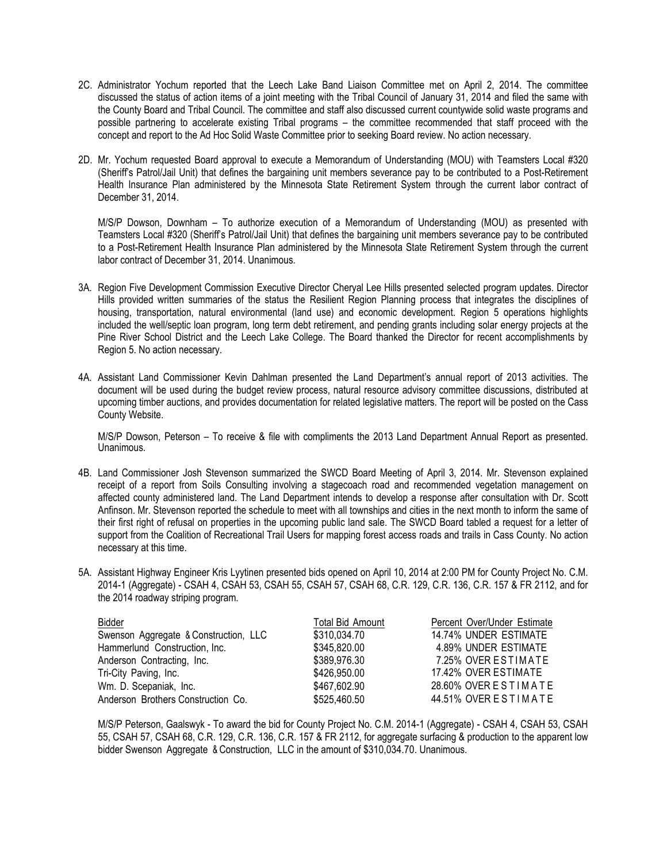- 2C. Administrator Yochum reported that the Leech Lake Band Liaison Committee met on April 2, 2014. The committee discussed the status of action items of a joint meeting with the Tribal Council of January 31, 2014 and filed the same with the County Board and Tribal Council. The committee and staff also discussed current countywide solid waste programs and possible partnering to accelerate existing Tribal programs – the committee recommended that staff proceed with the concept and report to the Ad Hoc Solid Waste Committee prior to seeking Board review. No action necessary.
- 2D. Mr. Yochum requested Board approval to execute a Memorandum of Understanding (MOU) with Teamsters Local #320 (Sheriff's Patrol/Jail Unit) that defines the bargaining unit members severance pay to be contributed to a Post-Retirement Health Insurance Plan administered by the Minnesota State Retirement System through the current labor contract of December 31, 2014.

M/S/P Dowson, Downham – To authorize execution of a Memorandum of Understanding (MOU) as presented with Teamsters Local #320 (Sheriff's Patrol/Jail Unit) that defines the bargaining unit members severance pay to be contributed to a Post-Retirement Health Insurance Plan administered by the Minnesota State Retirement System through the current labor contract of December 31, 2014. Unanimous.

- 3A. Region Five Development Commission Executive Director Cheryal Lee Hills presented selected program updates. Director Hills provided written summaries of the status the Resilient Region Planning process that integrates the disciplines of housing, transportation, natural environmental (land use) and economic development. Region 5 operations highlights included the well/septic loan program, long term debt retirement, and pending grants including solar energy projects at the Pine River School District and the Leech Lake College. The Board thanked the Director for recent accomplishments by Region 5. No action necessary.
- 4A. Assistant Land Commissioner Kevin Dahlman presented the Land Department's annual report of 2013 activities. The document will be used during the budget review process, natural resource advisory committee discussions, distributed at upcoming timber auctions, and provides documentation for related legislative matters. The report will be posted on the Cass County Website.

M/S/P Dowson, Peterson – To receive & file with compliments the 2013 Land Department Annual Report as presented. Unanimous.

- 4B. Land Commissioner Josh Stevenson summarized the SWCD Board Meeting of April 3, 2014. Mr. Stevenson explained receipt of a report from Soils Consulting involving a stagecoach road and recommended vegetation management on affected county administered land. The Land Department intends to develop a response after consultation with Dr. Scott Anfinson. Mr. Stevenson reported the schedule to meet with all townships and cities in the next month to inform the same of their first right of refusal on properties in the upcoming public land sale. The SWCD Board tabled a request for a letter of support from the Coalition of Recreational Trail Users for mapping forest access roads and trails in Cass County. No action necessary at this time.
- 5A. Assistant Highway Engineer Kris Lyytinen presented bids opened on April 10, 2014 at 2:00 PM for County Project No. C.M. 2014-1 (Aggregate) - CSAH 4, CSAH 53, CSAH 55, CSAH 57, CSAH 68, C.R. 129, C.R. 136, C.R. 157 & FR 2112, and for the 2014 roadway striping program.

| Bidder                                | Total Bid Amount | Percent Over/Under Estimate |
|---------------------------------------|------------------|-----------------------------|
| Swenson Aggregate & Construction, LLC | \$310,034.70     | 14.74% UNDER ESTIMATE       |
| Hammerlund Construction, Inc.         | \$345,820.00     | 4.89% UNDER ESTIMATE        |
| Anderson Contracting, Inc.            | \$389,976.30     | 7.25% OVER ESTIMATE         |
| Tri-City Paving, Inc.                 | \$426,950.00     | 17.42% OVER ESTIMATE        |
| Wm. D. Scepaniak, Inc.                | \$467,602.90     | 28.60% OVER ESTIMATE        |
| Anderson Brothers Construction Co.    | \$525,460.50     | 44.51% OVER ESTIMATE        |

M/S/P Peterson, Gaalswyk - To award the bid for County Project No. C.M. 2014-1 (Aggregate) - CSAH 4, CSAH 53, CSAH 55, CSAH 57, CSAH 68, C.R. 129, C.R. 136, C.R. 157 & FR 2112, for aggregate surfacing & production to the apparent low bidder Swenson Aggregate & Construction, LLC in the amount of \$310,034.70. Unanimous.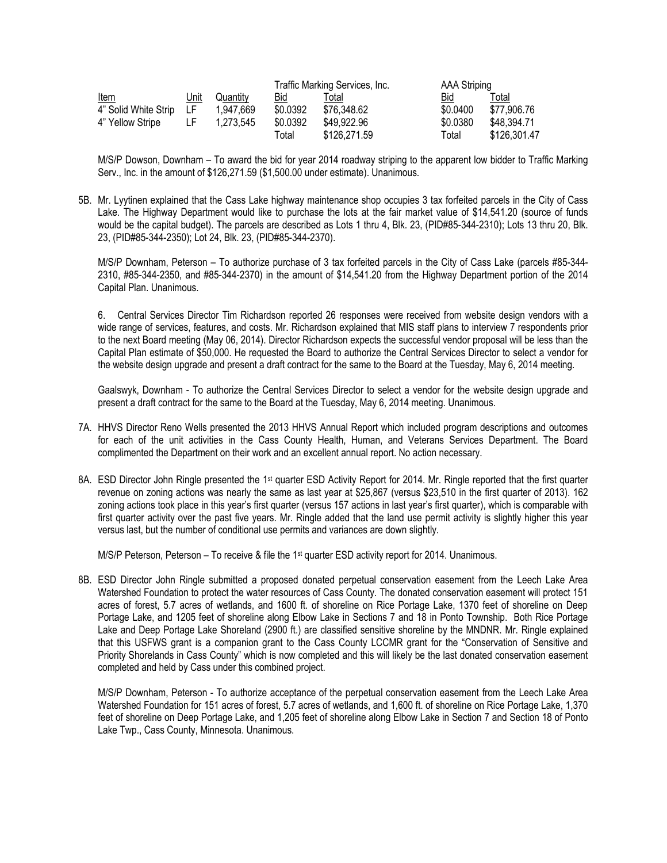| <u>Item</u>          | <u>Unit</u> | Quantity  | Traffic Marking Services, Inc. |              | AAA Striping |              |
|----------------------|-------------|-----------|--------------------------------|--------------|--------------|--------------|
|                      |             |           | Bid                            | Γotal        | Bid          | Total        |
| 4" Solid White Strip | - LF        | 1.947.669 | \$0.0392                       | \$76,348.62  | \$0.0400     | \$77,906.76  |
| 4" Yellow Stripe     | LF          | 1.273.545 | \$0.0392                       | \$49,922.96  | \$0.0380     | \$48,394.71  |
|                      |             |           | Total                          | \$126,271.59 | Total        | \$126,301.47 |

M/S/P Dowson, Downham – To award the bid for year 2014 roadway striping to the apparent low bidder to Traffic Marking Serv., Inc. in the amount of \$126,271.59 (\$1,500.00 under estimate). Unanimous.

5B. Mr. Lyytinen explained that the Cass Lake highway maintenance shop occupies 3 tax forfeited parcels in the City of Cass Lake. The Highway Department would like to purchase the lots at the fair market value of \$14,541.20 (source of funds would be the capital budget). The parcels are described as Lots 1 thru 4, Blk. 23, (PID#85-344-2310); Lots 13 thru 20, Blk. 23, (PID#85-344-2350); Lot 24, Blk. 23, (PID#85-344-2370).

M/S/P Downham, Peterson – To authorize purchase of 3 tax forfeited parcels in the City of Cass Lake (parcels #85-344- 2310, #85-344-2350, and #85-344-2370) in the amount of \$14,541.20 from the Highway Department portion of the 2014 Capital Plan. Unanimous.

6. Central Services Director Tim Richardson reported 26 responses were received from website design vendors with a wide range of services, features, and costs. Mr. Richardson explained that MIS staff plans to interview 7 respondents prior to the next Board meeting (May 06, 2014). Director Richardson expects the successful vendor proposal will be less than the Capital Plan estimate of \$50,000. He requested the Board to authorize the Central Services Director to select a vendor for the website design upgrade and present a draft contract for the same to the Board at the Tuesday, May 6, 2014 meeting.

Gaalswyk, Downham - To authorize the Central Services Director to select a vendor for the website design upgrade and present a draft contract for the same to the Board at the Tuesday, May 6, 2014 meeting. Unanimous.

- 7A. HHVS Director Reno Wells presented the 2013 HHVS Annual Report which included program descriptions and outcomes for each of the unit activities in the Cass County Health, Human, and Veterans Services Department. The Board complimented the Department on their work and an excellent annual report. No action necessary.
- 8A. ESD Director John Ringle presented the 1<sup>st</sup> quarter ESD Activity Report for 2014. Mr. Ringle reported that the first quarter revenue on zoning actions was nearly the same as last year at \$25,867 (versus \$23,510 in the first quarter of 2013). 162 zoning actions took place in this year's first quarter (versus 157 actions in last year's first quarter), which is comparable with first quarter activity over the past five years. Mr. Ringle added that the land use permit activity is slightly higher this year versus last, but the number of conditional use permits and variances are down slightly.

M/S/P Peterson, Peterson – To receive & file the 1<sup>st</sup> quarter ESD activity report for 2014. Unanimous.

8B. ESD Director John Ringle submitted a proposed donated perpetual conservation easement from the Leech Lake Area Watershed Foundation to protect the water resources of Cass County. The donated conservation easement will protect 151 acres of forest, 5.7 acres of wetlands, and 1600 ft. of shoreline on Rice Portage Lake, 1370 feet of shoreline on Deep Portage Lake, and 1205 feet of shoreline along Elbow Lake in Sections 7 and 18 in Ponto Township. Both Rice Portage Lake and Deep Portage Lake Shoreland (2900 ft.) are classified sensitive shoreline by the MNDNR. Mr. Ringle explained that this USFWS grant is a companion grant to the Cass County LCCMR grant for the "Conservation of Sensitive and Priority Shorelands in Cass County" which is now completed and this will likely be the last donated conservation easement completed and held by Cass under this combined project.

M/S/P Downham, Peterson - To authorize acceptance of the perpetual conservation easement from the Leech Lake Area Watershed Foundation for 151 acres of forest, 5.7 acres of wetlands, and 1,600 ft. of shoreline on Rice Portage Lake, 1,370 feet of shoreline on Deep Portage Lake, and 1,205 feet of shoreline along Elbow Lake in Section 7 and Section 18 of Ponto Lake Twp., Cass County, Minnesota. Unanimous.